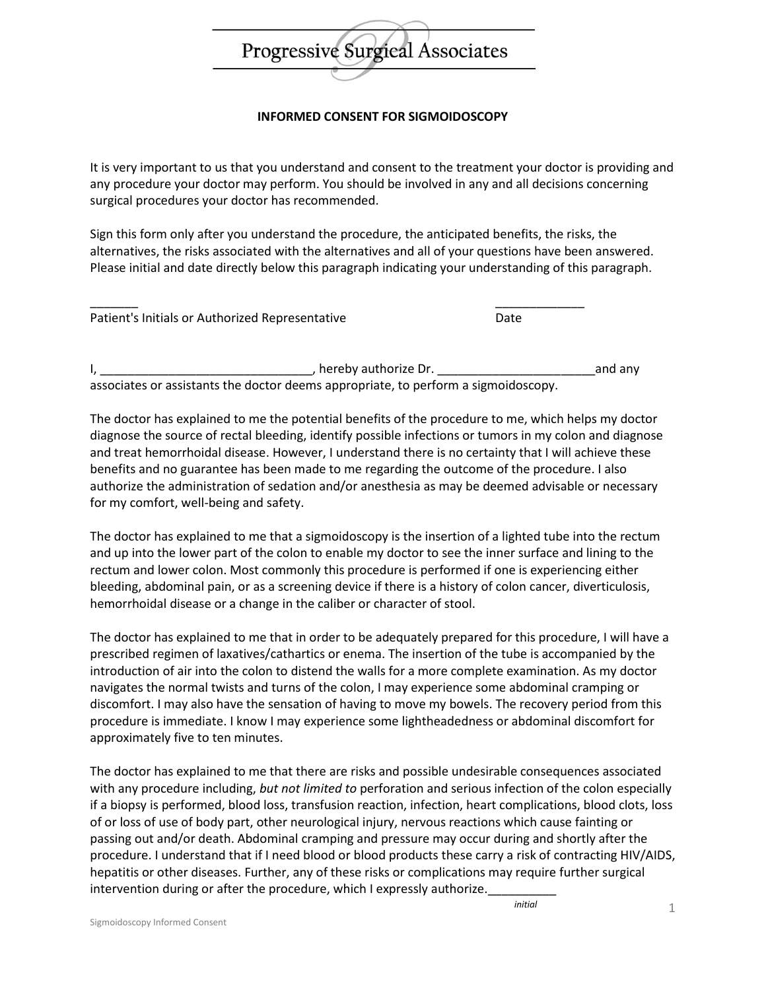

## **INFORMED CONSENT FOR SIGMOIDOSCOPY**

It is very important to us that you understand and consent to the treatment your doctor is providing and any procedure your doctor may perform. You should be involved in any and all decisions concerning surgical procedures your doctor has recommended.

Sign this form only after you understand the procedure, the anticipated benefits, the risks, the alternatives, the risks associated with the alternatives and all of your questions have been answered. Please initial and date directly below this paragraph indicating your understanding of this paragraph.

| Patient's Initials or Authorized Representative | Date |
|-------------------------------------------------|------|
|                                                 |      |

I, \_\_\_\_\_\_\_\_\_\_\_\_\_\_\_\_\_\_\_\_\_\_\_\_\_\_\_\_\_\_\_, hereby authorize Dr. \_\_\_\_\_\_\_\_\_\_\_\_\_\_\_\_\_\_\_\_\_\_\_and any associates or assistants the doctor deems appropriate, to perform a sigmoidoscopy.

The doctor has explained to me the potential benefits of the procedure to me, which helps my doctor diagnose the source of rectal bleeding, identify possible infections or tumors in my colon and diagnose and treat hemorrhoidal disease. However, I understand there is no certainty that I will achieve these benefits and no guarantee has been made to me regarding the outcome of the procedure. I also authorize the administration of sedation and/or anesthesia as may be deemed advisable or necessary for my comfort, well-being and safety.

The doctor has explained to me that a sigmoidoscopy is the insertion of a lighted tube into the rectum and up into the lower part of the colon to enable my doctor to see the inner surface and lining to the rectum and lower colon. Most commonly this procedure is performed if one is experiencing either bleeding, abdominal pain, or as a screening device if there is a history of colon cancer, diverticulosis, hemorrhoidal disease or a change in the caliber or character of stool.

The doctor has explained to me that in order to be adequately prepared for this procedure, I will have a prescribed regimen of laxatives/cathartics or enema. The insertion of the tube is accompanied by the introduction of air into the colon to distend the walls for a more complete examination. As my doctor navigates the normal twists and turns of the colon, I may experience some abdominal cramping or discomfort. I may also have the sensation of having to move my bowels. The recovery period from this procedure is immediate. I know I may experience some lightheadedness or abdominal discomfort for approximately five to ten minutes.

The doctor has explained to me that there are risks and possible undesirable consequences associated with any procedure including, *but not limited to* perforation and serious infection of the colon especially if a biopsy is performed, blood loss, transfusion reaction, infection, heart complications, blood clots, loss of or loss of use of body part, other neurological injury, nervous reactions which cause fainting or passing out and/or death. Abdominal cramping and pressure may occur during and shortly after the procedure. I understand that if I need blood or blood products these carry a risk of contracting HIV/AIDS, hepatitis or other diseases. Further, any of these risks or complications may require further surgical intervention during or after the procedure, which I expressly authorize.

*initial*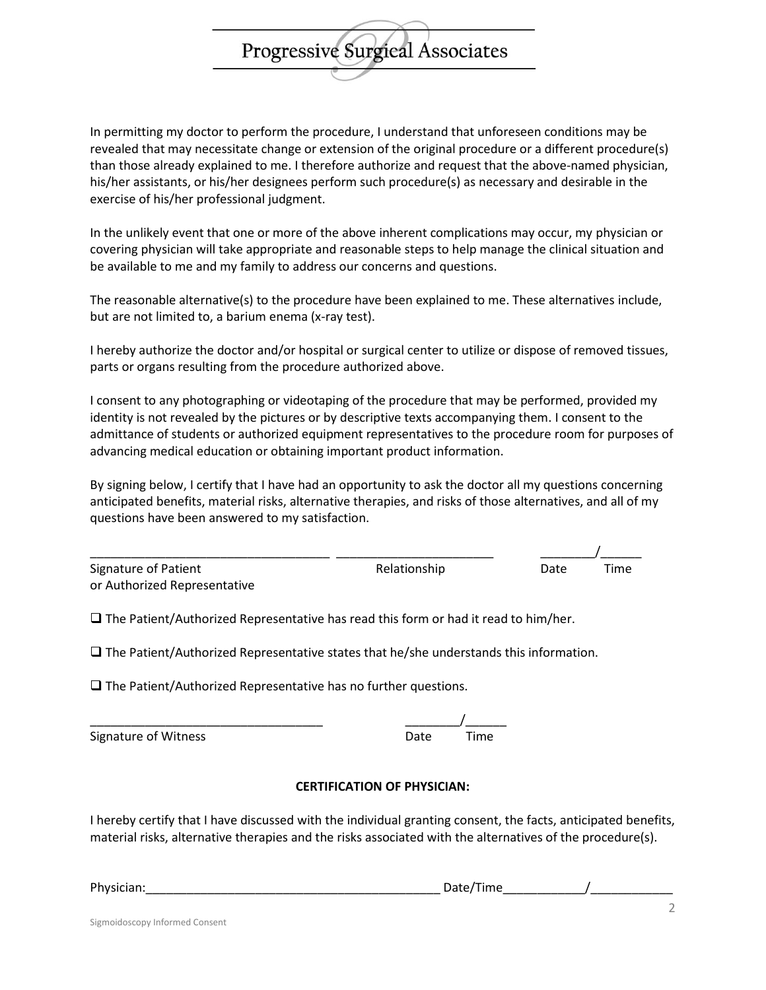In permitting my doctor to perform the procedure, I understand that unforeseen conditions may be revealed that may necessitate change or extension of the original procedure or a different procedure(s) than those already explained to me. I therefore authorize and request that the above-named physician, his/her assistants, or his/her designees perform such procedure(s) as necessary and desirable in the exercise of his/her professional judgment.

Progressive Surgical Associates

In the unlikely event that one or more of the above inherent complications may occur, my physician or covering physician will take appropriate and reasonable steps to help manage the clinical situation and be available to me and my family to address our concerns and questions.

The reasonable alternative(s) to the procedure have been explained to me. These alternatives include, but are not limited to, a barium enema (x-ray test).

I hereby authorize the doctor and/or hospital or surgical center to utilize or dispose of removed tissues, parts or organs resulting from the procedure authorized above.

I consent to any photographing or videotaping of the procedure that may be performed, provided my identity is not revealed by the pictures or by descriptive texts accompanying them. I consent to the admittance of students or authorized equipment representatives to the procedure room for purposes of advancing medical education or obtaining important product information.

By signing below, I certify that I have had an opportunity to ask the doctor all my questions concerning anticipated benefits, material risks, alternative therapies, and risks of those alternatives, and all of my questions have been answered to my satisfaction.

| Signature of Patient         | Relationship | Date | Time |
|------------------------------|--------------|------|------|
| or Authorized Representative |              |      |      |

 $\square$  The Patient/Authorized Representative has read this form or had it read to him/her.

 $\square$  The Patient/Authorized Representative states that he/she understands this information.

 $\square$  The Patient/Authorized Representative has no further questions.

Signature of Witness **Date** Time

# \_\_\_\_\_\_\_\_\_\_\_\_\_\_\_\_\_\_\_\_\_\_\_\_\_\_\_\_\_\_\_\_\_\_ \_\_\_\_\_\_\_\_/\_\_\_\_\_\_

#### **CERTIFICATION OF PHYSICIAN:**

I hereby certify that I have discussed with the individual granting consent, the facts, anticipated benefits, material risks, alternative therapies and the risks associated with the alternatives of the procedure(s).

| Physician: |                 |  |
|------------|-----------------|--|
|            | `ime<br>,,,,,,, |  |
|            |                 |  |